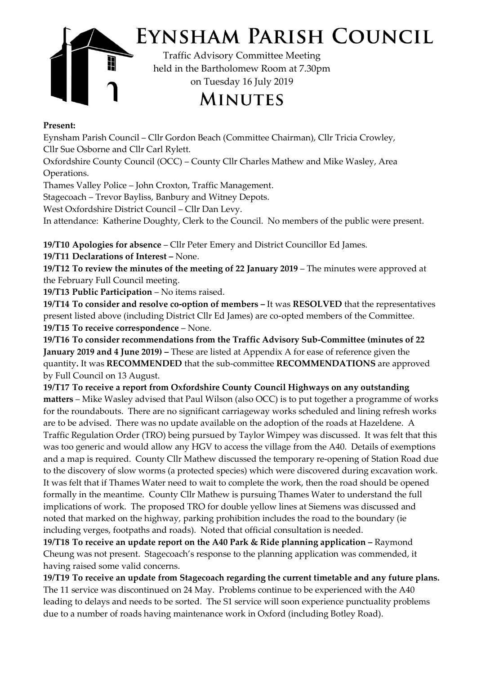

## **Present:**

Eynsham Parish Council – Cllr Gordon Beach (Committee Chairman), Cllr Tricia Crowley, Cllr Sue Osborne and Cllr Carl Rylett.

Oxfordshire County Council (OCC) – County Cllr Charles Mathew and Mike Wasley, Area Operations.

Thames Valley Police – John Croxton, Traffic Management.

Stagecoach – Trevor Bayliss, Banbury and Witney Depots.

West Oxfordshire District Council – Cllr Dan Levy.

In attendance: Katherine Doughty, Clerk to the Council. No members of the public were present.

**19/T10 Apologies for absence** – Cllr Peter Emery and District Councillor Ed James.

**19/T11 Declarations of Interest –** None.

**19/T12 To review the minutes of the meeting of 22 January 2019** – The minutes were approved at the February Full Council meeting.

**19/T13 Public Participation** – No items raised.

**19/T14 To consider and resolve co-option of members –** It was **RESOLVED** that the representatives present listed above (including District Cllr Ed James) are co-opted members of the Committee. **19/T15 To receive correspondence** – None.

**19/T16 To consider recommendations from the Traffic Advisory Sub-Committee (minutes of 22 January 2019 and 4 June 2019) –** These are listed at Appendix A for ease of reference given the quantity**.** It was **RECOMMENDED** that the sub-committee **RECOMMENDATIONS** are approved by Full Council on 13 August.

**19/T17 To receive a report from Oxfordshire County Council Highways on any outstanding matters** – Mike Wasley advised that Paul Wilson (also OCC) is to put together a programme of works for the roundabouts. There are no significant carriageway works scheduled and lining refresh works are to be advised. There was no update available on the adoption of the roads at Hazeldene. A Traffic Regulation Order (TRO) being pursued by Taylor Wimpey was discussed. It was felt that this was too generic and would allow any HGV to access the village from the A40. Details of exemptions and a map is required. County Cllr Mathew discussed the temporary re-opening of Station Road due to the discovery of slow worms (a protected species) which were discovered during excavation work. It was felt that if Thames Water need to wait to complete the work, then the road should be opened formally in the meantime. County Cllr Mathew is pursuing Thames Water to understand the full implications of work. The proposed TRO for double yellow lines at Siemens was discussed and noted that marked on the highway, parking prohibition includes the road to the boundary (ie including verges, footpaths and roads). Noted that official consultation is needed.

**19/T18 To receive an update report on the A40 Park & Ride planning application –** Raymond Cheung was not present. Stagecoach's response to the planning application was commended, it having raised some valid concerns.

**19/T19 To receive an update from Stagecoach regarding the current timetable and any future plans.** The 11 service was discontinued on 24 May. Problems continue to be experienced with the A40 leading to delays and needs to be sorted. The S1 service will soon experience punctuality problems due to a number of roads having maintenance work in Oxford (including Botley Road).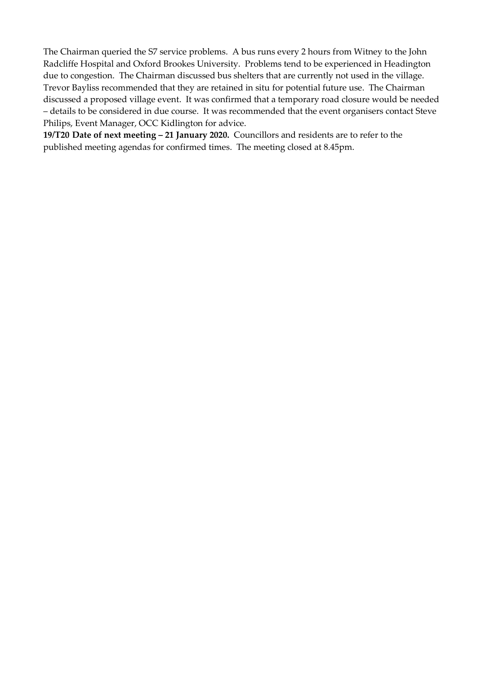The Chairman queried the S7 service problems. A bus runs every 2 hours from Witney to the John Radcliffe Hospital and Oxford Brookes University. Problems tend to be experienced in Headington due to congestion. The Chairman discussed bus shelters that are currently not used in the village. Trevor Bayliss recommended that they are retained in situ for potential future use. The Chairman discussed a proposed village event. It was confirmed that a temporary road closure would be needed – details to be considered in due course. It was recommended that the event organisers contact Steve Philips, Event Manager, OCC Kidlington for advice.

**19/T20 Date of next meeting – 21 January 2020.** Councillors and residents are to refer to the published meeting agendas for confirmed times. The meeting closed at 8.45pm.